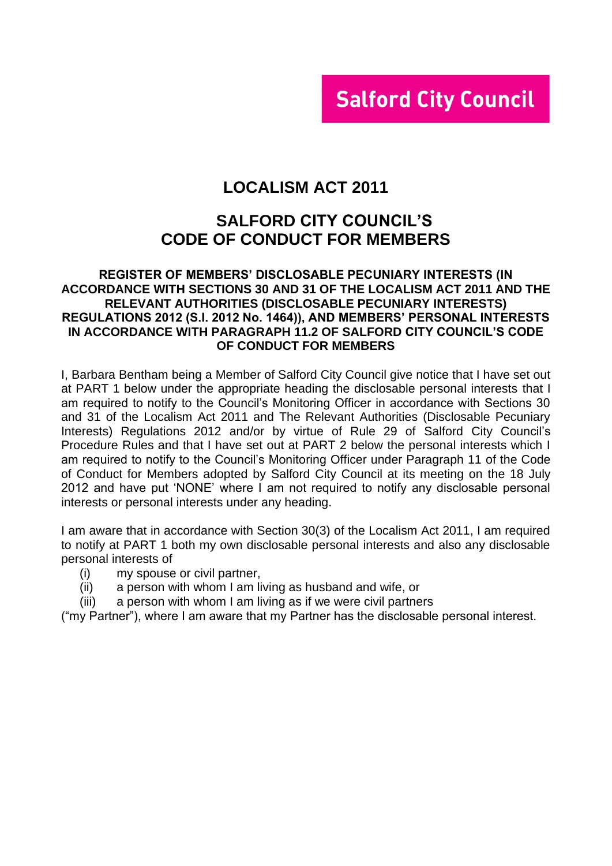# **Salford City Council**

# **LOCALISM ACT 2011**

# **SALFORD CITY COUNCIL'S CODE OF CONDUCT FOR MEMBERS**

#### **REGISTER OF MEMBERS' DISCLOSABLE PECUNIARY INTERESTS (IN ACCORDANCE WITH SECTIONS 30 AND 31 OF THE LOCALISM ACT 2011 AND THE RELEVANT AUTHORITIES (DISCLOSABLE PECUNIARY INTERESTS) REGULATIONS 2012 (S.I. 2012 No. 1464)), AND MEMBERS' PERSONAL INTERESTS IN ACCORDANCE WITH PARAGRAPH 11.2 OF SALFORD CITY COUNCIL'S CODE OF CONDUCT FOR MEMBERS**

I, Barbara Bentham being a Member of Salford City Council give notice that I have set out at PART 1 below under the appropriate heading the disclosable personal interests that I am required to notify to the Council's Monitoring Officer in accordance with Sections 30 and 31 of the Localism Act 2011 and The Relevant Authorities (Disclosable Pecuniary Interests) Regulations 2012 and/or by virtue of Rule 29 of Salford City Council's Procedure Rules and that I have set out at PART 2 below the personal interests which I am required to notify to the Council's Monitoring Officer under Paragraph 11 of the Code of Conduct for Members adopted by Salford City Council at its meeting on the 18 July 2012 and have put 'NONE' where I am not required to notify any disclosable personal interests or personal interests under any heading.

I am aware that in accordance with Section 30(3) of the Localism Act 2011, I am required to notify at PART 1 both my own disclosable personal interests and also any disclosable personal interests of

- (i) my spouse or civil partner,
- (ii) a person with whom I am living as husband and wife, or
- (iii) a person with whom I am living as if we were civil partners

("my Partner"), where I am aware that my Partner has the disclosable personal interest.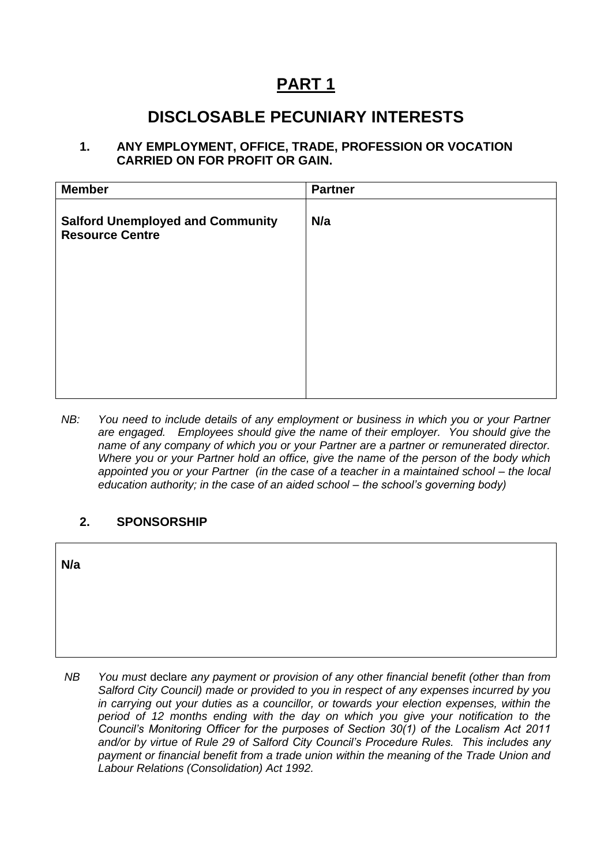# **PART 1**

# **DISCLOSABLE PECUNIARY INTERESTS**

### **1. ANY EMPLOYMENT, OFFICE, TRADE, PROFESSION OR VOCATION CARRIED ON FOR PROFIT OR GAIN.**

| <b>Member</b>                                                     | <b>Partner</b> |
|-------------------------------------------------------------------|----------------|
| <b>Salford Unemployed and Community</b><br><b>Resource Centre</b> | N/a            |
|                                                                   |                |
|                                                                   |                |
|                                                                   |                |

*NB:* You need to include details of any employment or business in which you or your Partner *are engaged. Employees should give the name of their employer. You should give the name of any company of which you or your Partner are a partner or remunerated director. Where you or your Partner hold an office, give the name of the person of the body which appointed you or your Partner (in the case of a teacher in a maintained school – the local education authority; in the case of an aided school – the school's governing body)*

### **2. SPONSORSHIP**

| N/a |  |  |  |
|-----|--|--|--|
|     |  |  |  |
|     |  |  |  |

*NB You must* declare *any payment or provision of any other financial benefit (other than from Salford City Council) made or provided to you in respect of any expenses incurred by you in carrying out your duties as a councillor, or towards your election expenses, within the period of 12 months ending with the day on which you give your notification to the Council's Monitoring Officer for the purposes of Section 30(1) of the Localism Act 2011 and/or by virtue of Rule 29 of Salford City Council's Procedure Rules. This includes any payment or financial benefit from a trade union within the meaning of the Trade Union and Labour Relations (Consolidation) Act 1992.*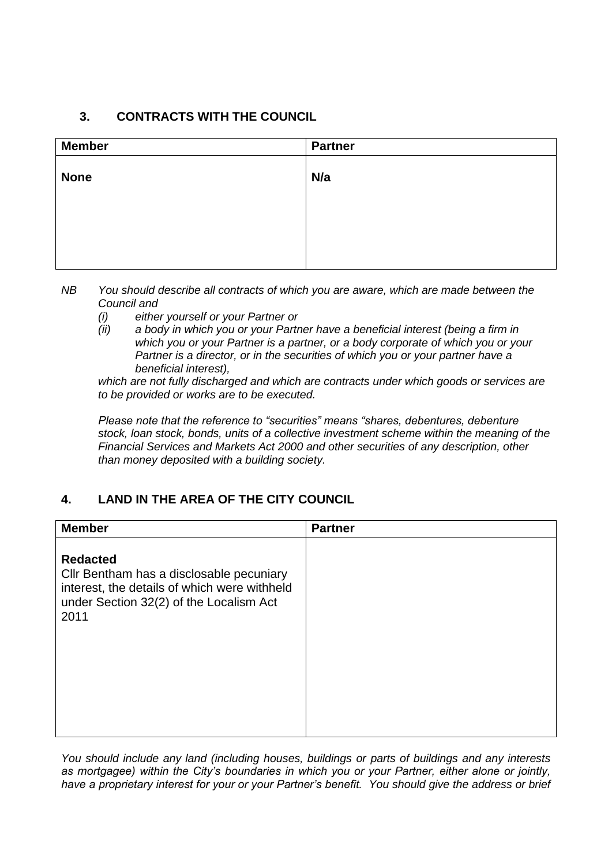## **3. CONTRACTS WITH THE COUNCIL**

| <b>Member</b> | <b>Partner</b> |
|---------------|----------------|
| <b>None</b>   | N/a            |
|               |                |
|               |                |
|               |                |

*NB You should describe all contracts of which you are aware, which are made between the Council and* 

- *(i) either yourself or your Partner or*
- *(ii) a body in which you or your Partner have a beneficial interest (being a firm in which you or your Partner is a partner, or a body corporate of which you or your Partner is a director, or in the securities of which you or your partner have a beneficial interest),*

*which are not fully discharged and which are contracts under which goods or services are to be provided or works are to be executed.*

*Please note that the reference to "securities" means "shares, debentures, debenture stock, loan stock, bonds, units of a collective investment scheme within the meaning of the Financial Services and Markets Act 2000 and other securities of any description, other than money deposited with a building society.*

# **4. LAND IN THE AREA OF THE CITY COUNCIL**

| <b>Member</b>                                                                                                                                                  | <b>Partner</b> |
|----------------------------------------------------------------------------------------------------------------------------------------------------------------|----------------|
| <b>Redacted</b><br>Cllr Bentham has a disclosable pecuniary<br>interest, the details of which were withheld<br>under Section 32(2) of the Localism Act<br>2011 |                |

*You should include any land (including houses, buildings or parts of buildings and any interests as mortgagee) within the City's boundaries in which you or your Partner, either alone or jointly, have a proprietary interest for your or your Partner's benefit. You should give the address or brief*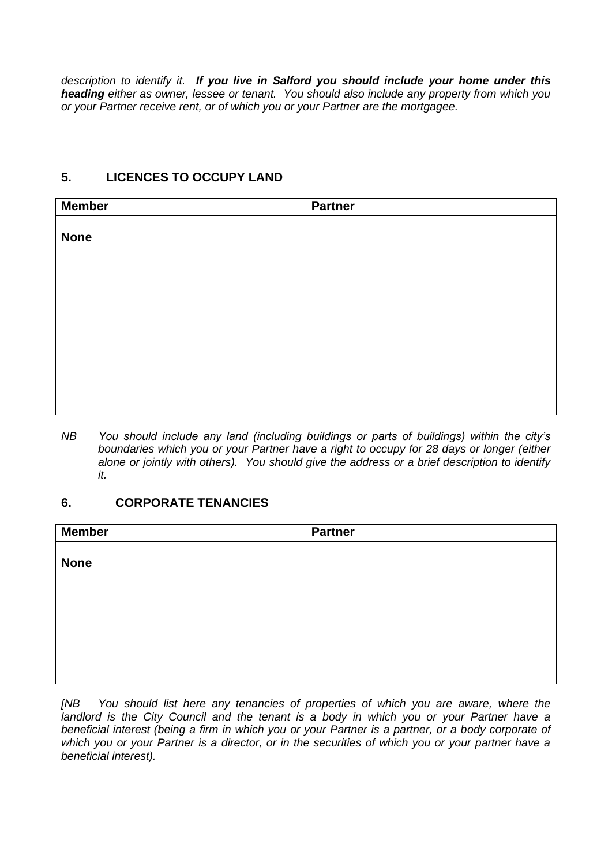*description to identify it. If you live in Salford you should include your home under this heading either as owner, lessee or tenant. You should also include any property from which you or your Partner receive rent, or of which you or your Partner are the mortgagee.*

### **5. LICENCES TO OCCUPY LAND**

| <b>Member</b> | <b>Partner</b> |
|---------------|----------------|
|               |                |
| <b>None</b>   |                |
|               |                |
|               |                |
|               |                |
|               |                |
|               |                |
|               |                |
|               |                |
|               |                |
|               |                |

*NB You should include any land (including buildings or parts of buildings) within the city's boundaries which you or your Partner have a right to occupy for 28 days or longer (either alone or jointly with others). You should give the address or a brief description to identify it.*

### **6. CORPORATE TENANCIES**

| <b>Member</b> | <b>Partner</b> |
|---------------|----------------|
|               |                |
| <b>None</b>   |                |
|               |                |
|               |                |
|               |                |
|               |                |
|               |                |
|               |                |

*[NB You should list here any tenancies of properties of which you are aware, where the*  landlord is the City Council and the tenant is a body in which you or your Partner have a *beneficial interest (being a firm in which you or your Partner is a partner, or a body corporate of which you or your Partner is a director, or in the securities of which you or your partner have a beneficial interest).*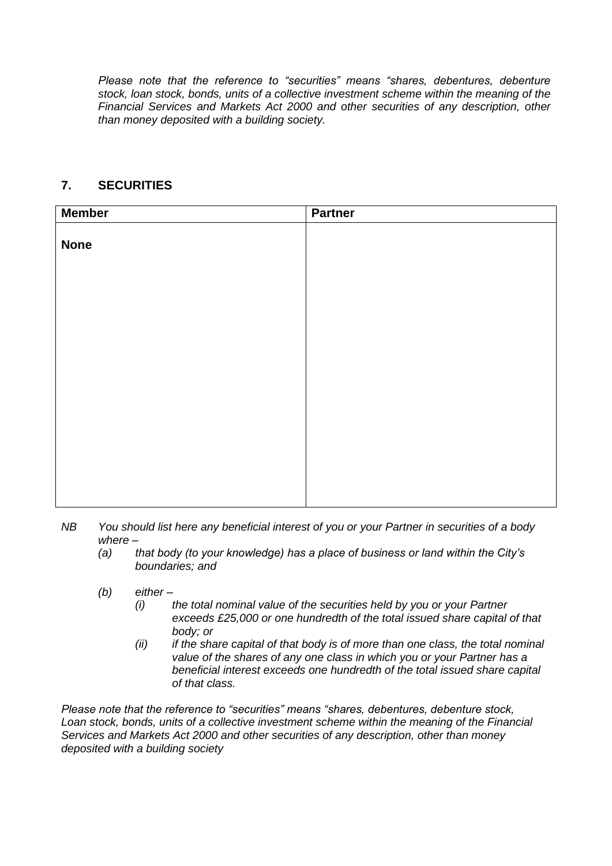*Please note that the reference to "securities" means "shares, debentures, debenture stock, loan stock, bonds, units of a collective investment scheme within the meaning of the Financial Services and Markets Act 2000 and other securities of any description, other than money deposited with a building society.*

### **7. SECURITIES**

| <b>Member</b> | <b>Partner</b> |
|---------------|----------------|
|               |                |
| <b>None</b>   |                |
|               |                |
|               |                |
|               |                |
|               |                |
|               |                |
|               |                |
|               |                |
|               |                |
|               |                |
|               |                |
|               |                |
|               |                |
|               |                |
|               |                |

- *NB You should list here any beneficial interest of you or your Partner in securities of a body where –*
	- *(a) that body (to your knowledge) has a place of business or land within the City's boundaries; and*
	- *(b) either –*
		- *(i) the total nominal value of the securities held by you or your Partner exceeds £25,000 or one hundredth of the total issued share capital of that body; or*
		- *(ii) if the share capital of that body is of more than one class, the total nominal value of the shares of any one class in which you or your Partner has a beneficial interest exceeds one hundredth of the total issued share capital of that class.*

*Please note that the reference to "securities" means "shares, debentures, debenture stock, Loan stock, bonds, units of a collective investment scheme within the meaning of the Financial Services and Markets Act 2000 and other securities of any description, other than money deposited with a building society*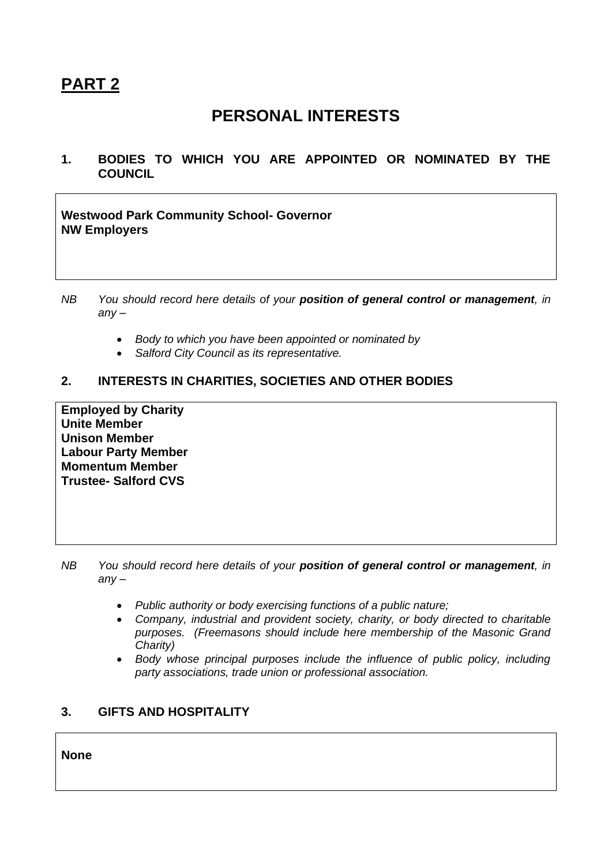# **PART 2**

# **PERSONAL INTERESTS**

**1. BODIES TO WHICH YOU ARE APPOINTED OR NOMINATED BY THE COUNCIL**

**Westwood Park Community School- Governor NW Employers**

- *NB You should record here details of your position of general control or management, in any –*
	- *Body to which you have been appointed or nominated by*
	- *Salford City Council as its representative.*

### **2. INTERESTS IN CHARITIES, SOCIETIES AND OTHER BODIES**

**Employed by Charity Unite Member Unison Member Labour Party Member Momentum Member Trustee- Salford CVS**

- *NB You should record here details of your position of general control or management, in any –*
	- *Public authority or body exercising functions of a public nature;*
	- *Company, industrial and provident society, charity, or body directed to charitable purposes. (Freemasons should include here membership of the Masonic Grand Charity)*
	- *Body whose principal purposes include the influence of public policy, including party associations, trade union or professional association.*

### **3. GIFTS AND HOSPITALITY**

**None**